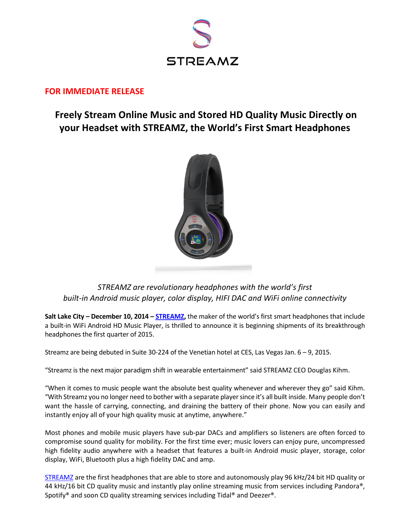

# **FOR IMMEDIATE RELEASE**

# **Freely Stream Online Music and Stored HD Quality Music Directly on your Headset with STREAMZ, the World's First Smart Headphones**



*STREAMZ are revolutionary headphones with the world's first built-in Android music player, color display, HIFI DAC and WiFi online connectivity*

**Salt Lake City – December 10, 2014 – [STREAMZ,](http://www.streamzmedia.com/)** the maker of the world's first smart headphones that include a built-in WiFi Android HD Music Player, is thrilled to announce it is beginning shipments of its breakthrough headphones the first quarter of 2015.

Streamz are being debuted in Suite 30-224 of the Venetian hotel at CES, Las Vegas Jan. 6 – 9, 2015.

"Streamz is the next major paradigm shift in wearable entertainment" said STREAMZ CEO Douglas Kihm.

"When it comes to music people want the absolute best quality whenever and wherever they go" said Kihm. "With Streamz you no longer need to bother with a separate player since it's all built inside. Many people don't want the hassle of carrying, connecting, and draining the battery of their phone. Now you can easily and instantly enjoy all of your high quality music at anytime, anywhere."

Most phones and mobile music players have sub-par DACs and amplifiers so listeners are often forced to compromise sound quality for mobility. For the first time ever; music lovers can enjoy pure, uncompressed high fidelity audio anywhere with a headset that features a built-in Android music player, storage, color display, WiFi, Bluetooth plus a high fidelity DAC and amp.

[STREAMZ](http://www.streamzmedia.com/) are the first headphones that are able to store and autonomously play 96 kHz/24 bit HD quality or 44 kHz/16 bit CD quality music and instantly play online streaming music from services including Pandora®, Spotify® and soon CD quality streaming services including Tidal® and Deezer®.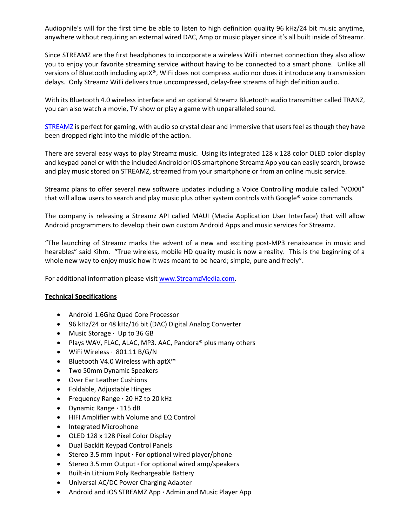Audiophile's will for the first time be able to listen to high definition quality 96 kHz/24 bit music anytime, anywhere without requiring an external wired DAC, Amp or music player since it's all built inside of Streamz.

Since STREAMZ are the first headphones to incorporate a wireless WiFi internet connection they also allow you to enjoy your favorite streaming service without having to be connected to a smart phone. Unlike all versions of Bluetooth including aptX®, WiFi does not compress audio nor does it introduce any transmission delays. Only Streamz WiFi delivers true uncompressed, delay-free streams of high definition audio.

With its Bluetooth 4.0 wireless interface and an optional Streamz Bluetooth audio transmitter called TRANZ, you can also watch a movie, TV show or play a game with unparalleled sound.

[STREAMZ](http://www.streamzmedia.com/) is perfect for gaming, with audio so crystal clear and immersive that users feel as though they have been dropped right into the middle of the action.

There are several easy ways to play Streamz music. Using its integrated 128 x 128 color OLED color display and keypad panel or with the included Android or iOS smartphone Streamz App you can easily search, browse and play music stored on STREAMZ, streamed from your smartphone or from an online music service.

Streamz plans to offer several new software updates including a Voice Controlling module called "VOXXI" that will allow users to search and play music plus other system controls with Google® voice commands.

The company is releasing a Streamz API called MAUI (Media Application User Interface) that will allow Android programmers to develop their own custom Android Apps and music services for Streamz.

"The launching of Streamz marks the advent of a new and exciting post-MP3 renaissance in music and hearables" said Kihm. "True wireless, mobile HD quality music is now a reality. This is the beginning of a whole new way to enjoy music how it was meant to be heard; simple, pure and freely".

For additional information please visi[t www.StreamzMedia.com.](http://www.streamzmedia.com/)

## **Technical Specifications**

- Android 1.6Ghz Quad Core Processor
- 96 kHz/24 or 48 kHz/16 bit (DAC) Digital Analog Converter
- Music Storage **·** Up to 36 GB
- Plays WAV, FLAC, ALAC, MP3. AAC, Pandora® plus many others
- WiFi Wireless · 801.11 B/G/N
- Bluetooth V4.0 Wireless with aptX™
- Two 50mm Dynamic Speakers
- Over Ear Leather Cushions
- Foldable, Adjustable Hinges
- Frequency Range **·** 20 HZ to 20 kHz
- Dynamic Range **·** 115 dB
- HIFI Amplifier with Volume and EQ Control
- Integrated Microphone
- OLED 128 x 128 Pixel Color Display
- Dual Backlit Keypad Control Panels
- Stereo 3.5 mm Input **·** For optional wired player/phone
- Stereo 3.5 mm Output **·** For optional wired amp/speakers
- Built-in Lithium Poly Rechargeable Battery
- Universal AC/DC Power Charging Adapter
- Android and iOS STREAMZ App **·** Admin and Music Player App